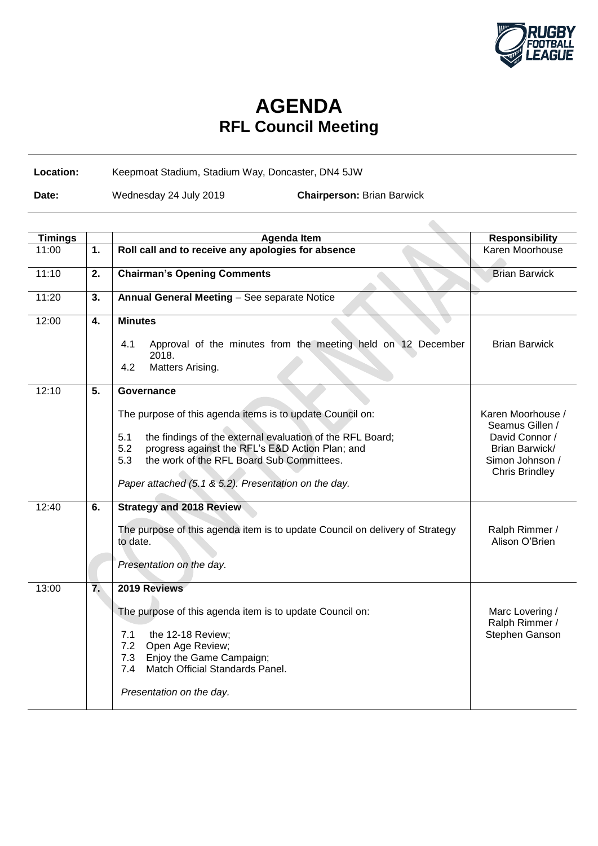

## **AGENDA RFL Council Meeting**

## **Location:** Keepmoat Stadium, Stadium Way, Doncaster, DN4 5JW

**Date:** Wednesday 24 July 2019 **Chairperson:** Brian Barwick

| <b>Timings</b> |    | <b>Agenda Item</b>                                                                                                                                                                                                                                                                                                | <b>Responsibility</b>                                                                                                |
|----------------|----|-------------------------------------------------------------------------------------------------------------------------------------------------------------------------------------------------------------------------------------------------------------------------------------------------------------------|----------------------------------------------------------------------------------------------------------------------|
| 11:00          | 1. | Roll call and to receive any apologies for absence                                                                                                                                                                                                                                                                | Karen Moorhouse                                                                                                      |
| 11:10          | 2. | <b>Chairman's Opening Comments</b>                                                                                                                                                                                                                                                                                | <b>Brian Barwick</b>                                                                                                 |
| 11:20          | 3. | Annual General Meeting - See separate Notice                                                                                                                                                                                                                                                                      |                                                                                                                      |
| 12:00          | 4. | <b>Minutes</b><br>Approval of the minutes from the meeting held on 12 December<br>4.1<br>2018.<br>Matters Arising.<br>4.2                                                                                                                                                                                         | <b>Brian Barwick</b>                                                                                                 |
| 12:10          | 5. | Governance<br>The purpose of this agenda items is to update Council on:<br>the findings of the external evaluation of the RFL Board;<br>5.1<br>5.2<br>progress against the RFL's E&D Action Plan; and<br>the work of the RFL Board Sub Committees.<br>5.3<br>Paper attached (5.1 & 5.2). Presentation on the day. | Karen Moorhouse /<br>Seamus Gillen /<br>David Connor /<br>Brian Barwick/<br>Simon Johnson /<br><b>Chris Brindley</b> |
| 12:40          | 6. | <b>Strategy and 2018 Review</b><br>The purpose of this agenda item is to update Council on delivery of Strategy<br>to date.<br>Presentation on the day.                                                                                                                                                           | Ralph Rimmer /<br>Alison O'Brien                                                                                     |
| 13:00          | 7. | 2019 Reviews<br>The purpose of this agenda item is to update Council on:<br>7.1<br>the 12-18 Review;<br>7.2<br>Open Age Review;<br>Enjoy the Game Campaign;<br>7.3<br>Match Official Standards Panel.<br>7.4<br>Presentation on the day.                                                                          | Marc Lovering /<br>Ralph Rimmer /<br>Stephen Ganson                                                                  |